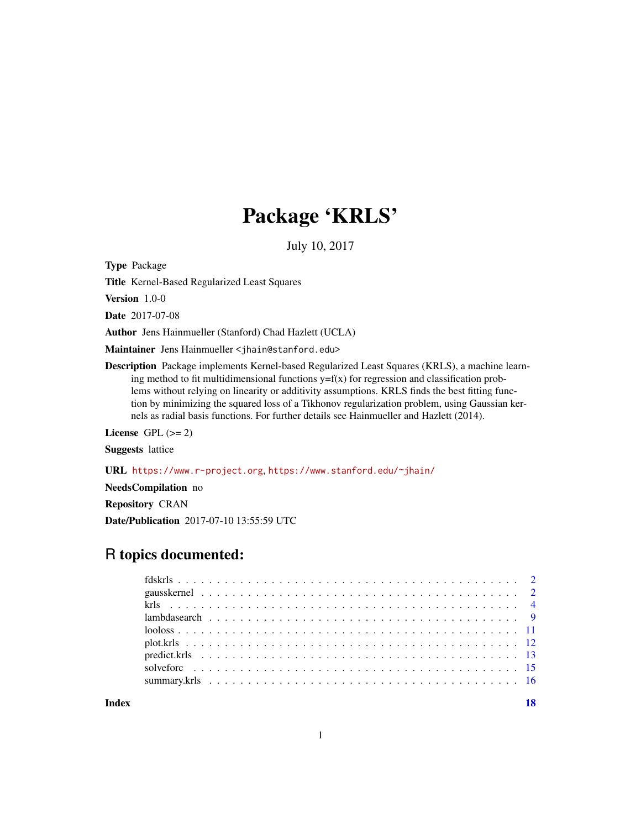# Package 'KRLS'

July 10, 2017

<span id="page-0-0"></span>Type Package

Title Kernel-Based Regularized Least Squares

Version 1.0-0

Date 2017-07-08

Author Jens Hainmueller (Stanford) Chad Hazlett (UCLA)

Maintainer Jens Hainmueller <jhain@stanford.edu>

Description Package implements Kernel-based Regularized Least Squares (KRLS), a machine learning method to fit multidimensional functions  $y=f(x)$  for regression and classification problems without relying on linearity or additivity assumptions. KRLS finds the best fitting function by minimizing the squared loss of a Tikhonov regularization problem, using Gaussian kernels as radial basis functions. For further details see Hainmueller and Hazlett (2014).

License GPL  $(>= 2)$ 

Suggests lattice

URL <https://www.r-project.org>, <https://www.stanford.edu/~jhain/>

NeedsCompilation no

Repository CRAN

Date/Publication 2017-07-10 13:55:59 UTC

# R topics documented:

**Index** 2008 **[18](#page-17-0)**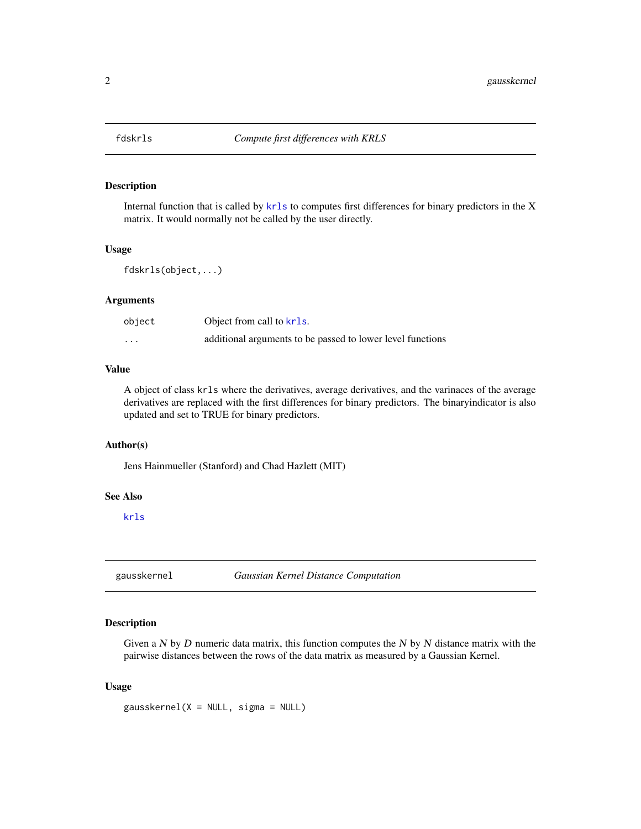<span id="page-1-0"></span>

Internal function that is called by [krls](#page-3-1) to computes first differences for binary predictors in the X matrix. It would normally not be called by the user directly.

#### Usage

fdskrls(object,...)

# Arguments

| object                  | Object from call to krls.                                  |
|-------------------------|------------------------------------------------------------|
| $\cdot$ $\cdot$ $\cdot$ | additional arguments to be passed to lower level functions |

# Value

A object of class krls where the derivatives, average derivatives, and the varinaces of the average derivatives are replaced with the first differences for binary predictors. The binaryindicator is also updated and set to TRUE for binary predictors.

# Author(s)

Jens Hainmueller (Stanford) and Chad Hazlett (MIT)

#### See Also

[krls](#page-3-1)

<span id="page-1-1"></span>gausskernel *Gaussian Kernel Distance Computation*

# Description

Given a  $N$  by  $D$  numeric data matrix, this function computes the  $N$  by  $N$  distance matrix with the pairwise distances between the rows of the data matrix as measured by a Gaussian Kernel.

#### Usage

gausskernel(X = NULL, sigma = NULL)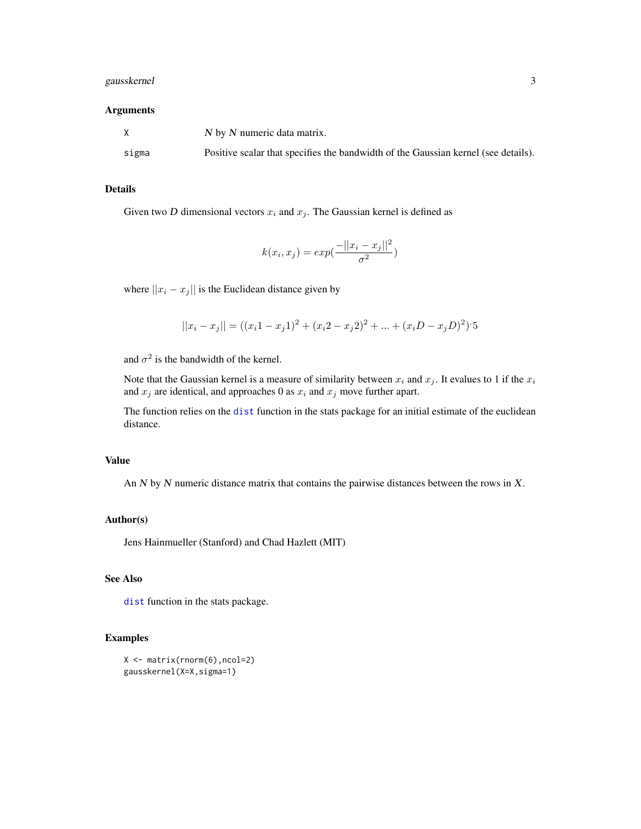# <span id="page-2-0"></span>gausskernel 3

#### Arguments

|       | N by N numeric data matrix.                                                        |
|-------|------------------------------------------------------------------------------------|
| sigma | Positive scalar that specifies the bandwidth of the Gaussian kernel (see details). |

#### Details

Given two D dimensional vectors  $x_i$  and  $x_j$ . The Gaussian kernel is defined as

$$
k(x_i, x_j) = exp(\frac{-||x_i - x_j||^2}{\sigma^2})
$$

where  $||x_i - x_j||$  is the Euclidean distance given by

$$
||x_i - x_j|| = ((x_i 1 - x_j 1)^2 + (x_i 2 - x_j 2)^2 + \dots + (x_i D - x_j D)^2)
$$
5

and  $\sigma^2$  is the bandwidth of the kernel.

Note that the Gaussian kernel is a measure of similarity between  $x_i$  and  $x_j$ . It evalues to 1 if the  $x_i$ and  $x_j$  are identical, and approaches 0 as  $x_i$  and  $x_j$  move further apart.

The function relies on the [dist](#page-0-0) function in the stats package for an initial estimate of the euclidean distance.

## Value

An  $N$  by  $N$  numeric distance matrix that contains the pairwise distances between the rows in  $X$ .

#### Author(s)

Jens Hainmueller (Stanford) and Chad Hazlett (MIT)

# See Also

[dist](#page-0-0) function in the stats package.

```
X \leftarrow matrix(rnorm(6),ncol=2)gausskernel(X=X,sigma=1)
```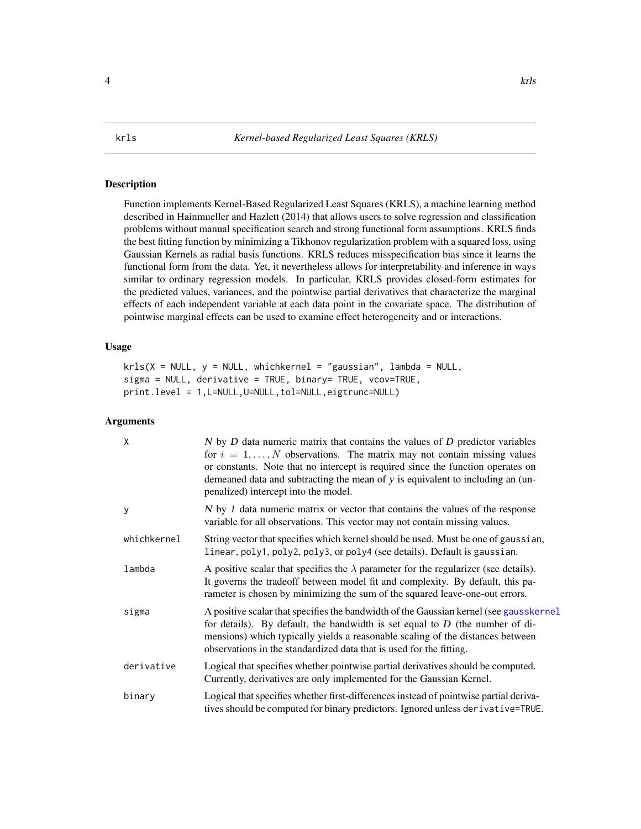<span id="page-3-1"></span><span id="page-3-0"></span>Function implements Kernel-Based Regularized Least Squares (KRLS), a machine learning method described in Hainmueller and Hazlett (2014) that allows users to solve regression and classification problems without manual specification search and strong functional form assumptions. KRLS finds the best fitting function by minimizing a Tikhonov regularization problem with a squared loss, using Gaussian Kernels as radial basis functions. KRLS reduces misspecification bias since it learns the functional form from the data. Yet, it nevertheless allows for interpretability and inference in ways similar to ordinary regression models. In particular, KRLS provides closed-form estimates for the predicted values, variances, and the pointwise partial derivatives that characterize the marginal effects of each independent variable at each data point in the covariate space. The distribution of pointwise marginal effects can be used to examine effect heterogeneity and or interactions.

#### Usage

```
krls(X = NULL, y = NULL, whichkernel = "gaussian", lambda = NULL,sigma = NULL, derivative = TRUE, binary= TRUE, vcov=TRUE,
print.level = 1,L=NULL,U=NULL,tol=NULL,eigtrunc=NULL)
```

| X           | $N$ by $D$ data numeric matrix that contains the values of $D$ predictor variables<br>for $i = 1, , N$ observations. The matrix may not contain missing values<br>or constants. Note that no intercept is required since the function operates on<br>demeaned data and subtracting the mean of y is equivalent to including an (un-<br>penalized) intercept into the model. |
|-------------|-----------------------------------------------------------------------------------------------------------------------------------------------------------------------------------------------------------------------------------------------------------------------------------------------------------------------------------------------------------------------------|
| У           | $N$ by 1 data numeric matrix or vector that contains the values of the response<br>variable for all observations. This vector may not contain missing values.                                                                                                                                                                                                               |
| whichkernel | String vector that specifies which kernel should be used. Must be one of gaussian,<br>linear, poly1, poly2, poly3, or poly4 (see details). Default is gaussian.                                                                                                                                                                                                             |
| lambda      | A positive scalar that specifies the $\lambda$ parameter for the regularizer (see details).<br>It governs the tradeoff between model fit and complexity. By default, this pa-<br>rameter is chosen by minimizing the sum of the squared leave-one-out errors.                                                                                                               |
| sigma       | A positive scalar that specifies the bandwidth of the Gaussian kernel (see gausskernel<br>for details). By default, the bandwidth is set equal to $D$ (the number of di-<br>mensions) which typically yields a reasonable scaling of the distances between<br>observations in the standardized data that is used for the fitting.                                           |
| derivative  | Logical that specifies whether pointwise partial derivatives should be computed.<br>Currently, derivatives are only implemented for the Gaussian Kernel.                                                                                                                                                                                                                    |
| binary      | Logical that specifies whether first-differences instead of pointwise partial deriva-<br>tives should be computed for binary predictors. Ignored unless derivative=TRUE.                                                                                                                                                                                                    |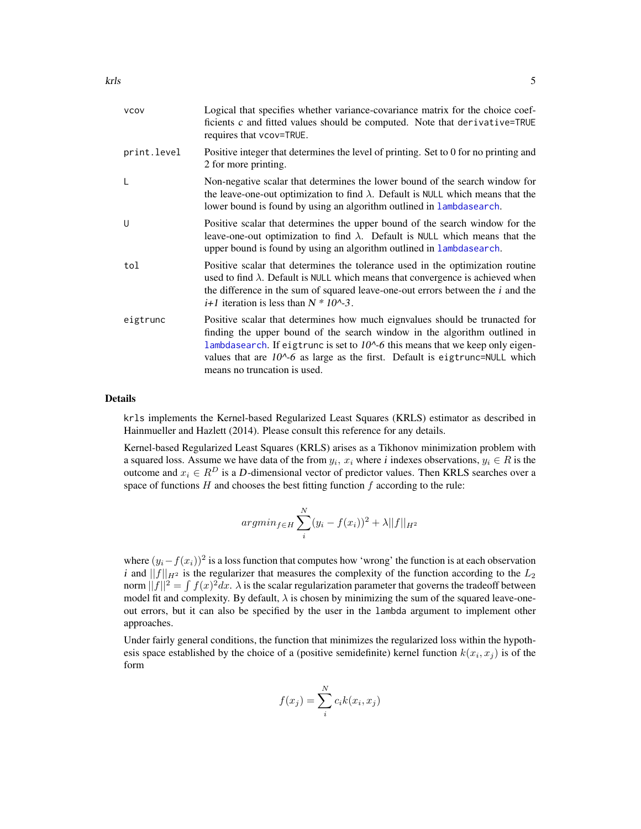<span id="page-4-0"></span>

| <b>VCOV</b> | Logical that specifies whether variance-covariance matrix for the choice coef-<br>ficients c and fitted values should be computed. Note that derivative=TRUE<br>requires that vcov=TRUE.                                                                                                                                                                                     |
|-------------|------------------------------------------------------------------------------------------------------------------------------------------------------------------------------------------------------------------------------------------------------------------------------------------------------------------------------------------------------------------------------|
| print.level | Positive integer that determines the level of printing. Set to 0 for no printing and<br>2 for more printing.                                                                                                                                                                                                                                                                 |
| L           | Non-negative scalar that determines the lower bound of the search window for<br>the leave-one-out optimization to find $\lambda$ . Default is NULL which means that the<br>lower bound is found by using an algorithm outlined in lambdasearch.                                                                                                                              |
| U           | Positive scalar that determines the upper bound of the search window for the<br>leave-one-out optimization to find $\lambda$ . Default is NULL which means that the<br>upper bound is found by using an algorithm outlined in lambdasearch.                                                                                                                                  |
| tol         | Positive scalar that determines the tolerance used in the optimization routine<br>used to find $\lambda$ . Default is NULL which means that convergence is achieved when<br>the difference in the sum of squared leave-one-out errors between the <i>i</i> and the<br><i>i</i> +1 iteration is less than $N * 10^{3}$ .                                                      |
| eigtrunc    | Positive scalar that determines how much eignvalues should be trunacted for<br>finding the upper bound of the search window in the algorithm outlined in<br>lambdasearch. If eigtrunc is set to $10^{\circ}$ -6 this means that we keep only eigen-<br>values that are $10^{\circ}$ -6 as large as the first. Default is eigtrunc=NULL which<br>means no truncation is used. |

#### Details

krls implements the Kernel-based Regularized Least Squares (KRLS) estimator as described in Hainmueller and Hazlett (2014). Please consult this reference for any details.

Kernel-based Regularized Least Squares (KRLS) arises as a Tikhonov minimization problem with a squared loss. Assume we have data of the from  $y_i$ ,  $x_i$  where i indexes observations,  $y_i \in R$  is the outcome and  $x_i \in R^D$  is a D-dimensional vector of predictor values. Then KRLS searches over a space of functions  $H$  and chooses the best fitting function  $f$  according to the rule:

$$
argmin_{f \in H} \sum_{i}^{N} (y_i - f(x_i))^2 + \lambda ||f||_{H^2}
$$

where  $(y_i - f(x_i))^2$  is a loss function that computes how 'wrong' the function is at each observation i and  $||f||_{H^2}$  is the regularizer that measures the complexity of the function according to the  $L_2$ norm  $||f||^2 = \int f(x)^2 dx$ .  $\lambda$  is the scalar regularization parameter that governs the tradeoff between model fit and complexity. By default,  $\lambda$  is chosen by minimizing the sum of the squared leave-oneout errors, but it can also be specified by the user in the lambda argument to implement other approaches.

Under fairly general conditions, the function that minimizes the regularized loss within the hypothesis space established by the choice of a (positive semidefinite) kernel function  $k(x_i, x_j)$  is of the form

$$
f(x_j) = \sum_{i}^{N} c_i k(x_i, x_j)
$$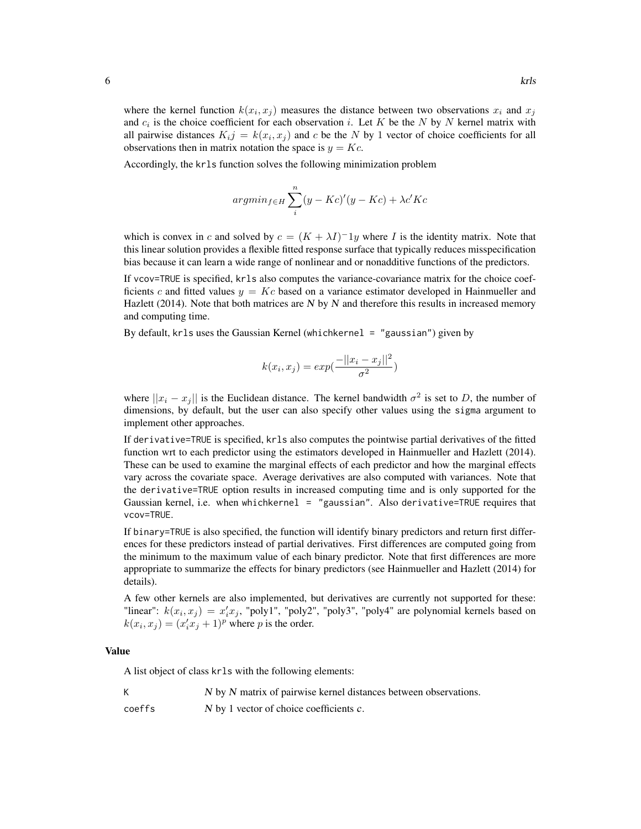where the kernel function  $k(x_i, x_j)$  measures the distance between two observations  $x_i$  and  $x_j$ and  $c_i$  is the choice coefficient for each observation i. Let K be the N by N kernel matrix with all pairwise distances  $K_{i,j} = k(x_i, x_j)$  and c be the N by 1 vector of choice coefficients for all observations then in matrix notation the space is  $y = Kc$ .

Accordingly, the krls function solves the following minimization problem

$$
argmin_{f \in H} \sum_{i}^{n} (y - Kc)'(y - Kc) + \lambda c' Kc
$$

which is convex in c and solved by  $c = (K + \lambda I)^{-1}y$  where I is the identity matrix. Note that this linear solution provides a flexible fitted response surface that typically reduces misspecification bias because it can learn a wide range of nonlinear and or nonadditive functions of the predictors.

If vcov=TRUE is specified, krls also computes the variance-covariance matrix for the choice coefficients c and fitted values  $y = Kc$  based on a variance estimator developed in Hainmueller and Hazlett (2014). Note that both matrices are  $N$  by  $N$  and therefore this results in increased memory and computing time.

By default, krls uses the Gaussian Kernel (whichkernel = "gaussian") given by

$$
k(x_i, x_j) = exp(\frac{-||x_i - x_j||^2}{\sigma^2})
$$

where  $||x_i - x_j||$  is the Euclidean distance. The kernel bandwidth  $\sigma^2$  is set to D, the number of dimensions, by default, but the user can also specify other values using the sigma argument to implement other approaches.

If derivative=TRUE is specified, krls also computes the pointwise partial derivatives of the fitted function wrt to each predictor using the estimators developed in Hainmueller and Hazlett (2014). These can be used to examine the marginal effects of each predictor and how the marginal effects vary across the covariate space. Average derivatives are also computed with variances. Note that the derivative=TRUE option results in increased computing time and is only supported for the Gaussian kernel, i.e. when whichkernel = "gaussian". Also derivative=TRUE requires that vcov=TRUE.

If binary=TRUE is also specified, the function will identify binary predictors and return first differences for these predictors instead of partial derivatives. First differences are computed going from the minimum to the maximum value of each binary predictor. Note that first differences are more appropriate to summarize the effects for binary predictors (see Hainmueller and Hazlett (2014) for details).

A few other kernels are also implemented, but derivatives are currently not supported for these: "linear":  $k(x_i, x_j) = x'_i x_j$ , "poly1", "poly2", "poly3", "poly4" are polynomial kernels based on  $k(x_i, x_j) = (x'_i x_j + 1)^p$  where p is the order.

#### Value

A list object of class krls with the following elements:

K N by N matrix of pairwise kernel distances between observations.

coeffs  $N$  by 1 vector of choice coefficients  $c$ .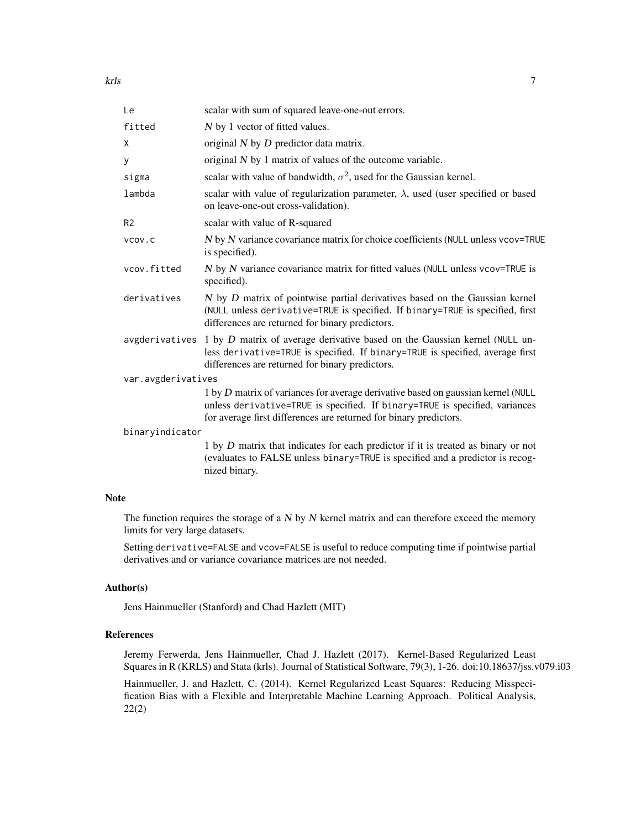| Le                 | scalar with sum of squared leave-one-out errors.                                                                                                                                                                                     |
|--------------------|--------------------------------------------------------------------------------------------------------------------------------------------------------------------------------------------------------------------------------------|
| fitted             | N by 1 vector of fitted values.                                                                                                                                                                                                      |
| X                  | original $N$ by $D$ predictor data matrix.                                                                                                                                                                                           |
| y                  | original $N$ by 1 matrix of values of the outcome variable.                                                                                                                                                                          |
| sigma              | scalar with value of bandwidth, $\sigma^2$ , used for the Gaussian kernel.                                                                                                                                                           |
| lambda             | scalar with value of regularization parameter, $\lambda$ , used (user specified or based<br>on leave-one-out cross-validation).                                                                                                      |
| R <sub>2</sub>     | scalar with value of R-squared                                                                                                                                                                                                       |
| VCOV.C             | N by N variance covariance matrix for choice coefficients (NULL unless vcov=TRUE<br>is specified).                                                                                                                                   |
| vcov.fitted        | N by N variance covariance matrix for fitted values (NULL unless vcov=TRUE is<br>specified).                                                                                                                                         |
| derivatives        | N by D matrix of pointwise partial derivatives based on the Gaussian kernel<br>(NULL unless derivative=TRUE is specified. If binary=TRUE is specified, first<br>differences are returned for binary predictors.                      |
|                    | avgderivatives 1 by $D$ matrix of average derivative based on the Gaussian kernel (NULL un-<br>less derivative=TRUE is specified. If binary=TRUE is specified, average first<br>differences are returned for binary predictors.      |
| var.avgderivatives |                                                                                                                                                                                                                                      |
|                    | 1 by D matrix of variances for average derivative based on gaussian kernel (NULL<br>unless derivative=TRUE is specified. If binary=TRUE is specified, variances<br>for average first differences are returned for binary predictors. |
| binaryindicator    |                                                                                                                                                                                                                                      |
|                    | 1 by D matrix that indicates for each predictor if it is treated as binary or not<br>(evaluates to FALSE unless binary=TRUE is specified and a predictor is recog-<br>nized binary.                                                  |
| <b>Note</b>        |                                                                                                                                                                                                                                      |

The function requires the storage of a  $N$  by  $N$  kernel matrix and can therefore exceed the memory limits for very large datasets.

Setting derivative=FALSE and vcov=FALSE is useful to reduce computing time if pointwise partial derivatives and or variance covariance matrices are not needed.

#### Author(s)

Jens Hainmueller (Stanford) and Chad Hazlett (MIT)

#### References

Jeremy Ferwerda, Jens Hainmueller, Chad J. Hazlett (2017). Kernel-Based Regularized Least Squares in R (KRLS) and Stata (krls). Journal of Statistical Software, 79(3), 1-26. doi:10.18637/jss.v079.i03

Hainmueller, J. and Hazlett, C. (2014). Kernel Regularized Least Squares: Reducing Misspecification Bias with a Flexible and Interpretable Machine Learning Approach. Political Analysis, 22(2)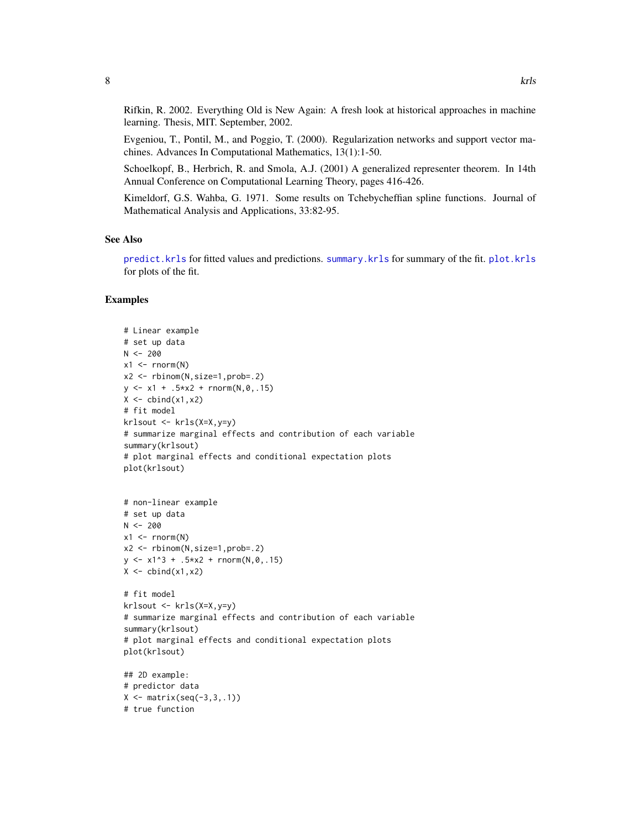<span id="page-7-0"></span>Rifkin, R. 2002. Everything Old is New Again: A fresh look at historical approaches in machine learning. Thesis, MIT. September, 2002.

Evgeniou, T., Pontil, M., and Poggio, T. (2000). Regularization networks and support vector machines. Advances In Computational Mathematics, 13(1):1-50.

Schoelkopf, B., Herbrich, R. and Smola, A.J. (2001) A generalized representer theorem. In 14th Annual Conference on Computational Learning Theory, pages 416-426.

Kimeldorf, G.S. Wahba, G. 1971. Some results on Tchebycheffian spline functions. Journal of Mathematical Analysis and Applications, 33:82-95.

#### See Also

[predict.krls](#page-12-1) for fitted values and predictions. [summary.krls](#page-15-1) for summary of the fit. [plot.krls](#page-11-1) for plots of the fit.

```
# Linear example
# set up data
N < -200x1 \leftarrow \text{rnorm}(N)x2 <- rbinom(N,size=1,prob=.2)
y \le -x1 + .5*x2 + \text{norm}(N, \emptyset, .15)X \leftarrow \text{cbind}(x1, x2)# fit model
krlsout <- krls(X=X,y=y)
# summarize marginal effects and contribution of each variable
summary(krlsout)
# plot marginal effects and conditional expectation plots
plot(krlsout)
# non-linear example
# set up data
N < -200x1 \leftarrow \text{rnorm}(N)x2 <- rbinom(N,size=1,prob=.2)
y \le -x1^3 + .5*x^2 + \text{rnorm}(N, \emptyset, .15)X \leftarrow \text{cbind}(x1, x2)# fit model
krlsout <- krls(X=X,y=y)
# summarize marginal effects and contribution of each variable
summary(krlsout)
# plot marginal effects and conditional expectation plots
plot(krlsout)
## 2D example:
# predictor data
X \leftarrow matrix(seq(-3,3,.1))# true function
```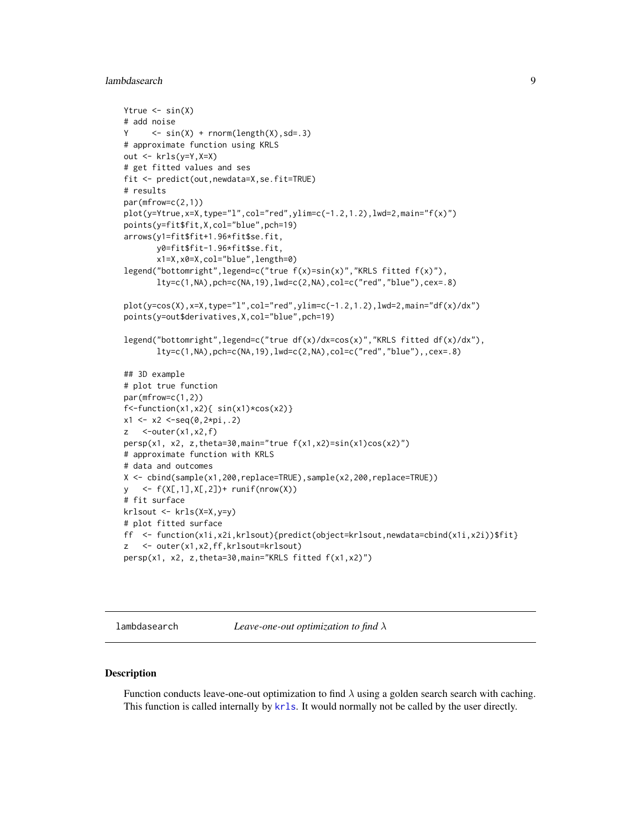# <span id="page-8-0"></span>lambdasearch 9

```
Ytrue \leq -\sin(X)# add noise
Y \leq -\sin(X) + \text{norm}(\text{length}(X), \text{sd} = .3)# approximate function using KRLS
out <- krls(y=Y,X=X)
# get fitted values and ses
fit <- predict(out,newdata=X,se.fit=TRUE)
# results
par(mfrow=c(2,1))
plot(y=Ytrue,x=X,type="l",col="red",ylim=c(-1.2,1.2),lwd=2,main="f(x)")
points(y=fit$fit,X,col="blue",pch=19)
arrows(y1=fit$fit+1.96*fit$se.fit,
       y0=fit$fit-1.96*fit$se.fit,
       x1=X,x0=X,col="blue",length=0)
legend("bottomright",legend=c("true f(x)=sin(x)","KRLS fitted f(x)"),
       lty=c(1,NA),pch=c(NA,19),lwd=c(2,NA),col=c("red","blue"),cex=.8)
plot(y=cos(X),x=X,type="l",col="red",ylim=c(-1.2,1.2),lwd=2,main="df(x)/dx")
points(y=out$derivatives,X,col="blue",pch=19)
legend("bottomright",legend=c("true df(x)/dx=cos(x)","KRLS fitted df(x)/dx"),
       lty=c(1,NA),pch=c(NA,19),lwd=c(2,NA),col=c("red","blue"),,cex=.8)
## 3D example
# plot true function
par(mfrow=c(1,2))
f <-function(x1,x2){ sin(x1)*cos(x2)}
x1 \leftarrow x2 \leftarrow seq(0, 2*pi, .2)z \quad \text{--outer}(x1, x2, f)persp(x1, x2, z,theta=30,main="true f(x1,x2)=sin(x1)cos(x2)")
# approximate function with KRLS
# data and outcomes
X <- cbind(sample(x1,200,replace=TRUE),sample(x2,200,replace=TRUE))
y <- f(X[,1],X[,2])+ runif(nrow(X))
# fit surface
krlsout <- krls(X=X,y=y)
# plot fitted surface
ff <- function(x1i,x2i,krlsout){predict(object=krlsout,newdata=cbind(x1i,x2i))$fit}
z <- outer(x1,x2,ff,krlsout=krlsout)
persp(x1, x2, z,theta=30,main="KRLS fitted f(x1,x2)")
```
<span id="page-8-1"></span>lambdasearch *Leave-one-out optimization to find* λ

#### Description

Function conducts leave-one-out optimization to find  $\lambda$  using a golden search search with caching. This function is called internally by [krls](#page-3-1). It would normally not be called by the user directly.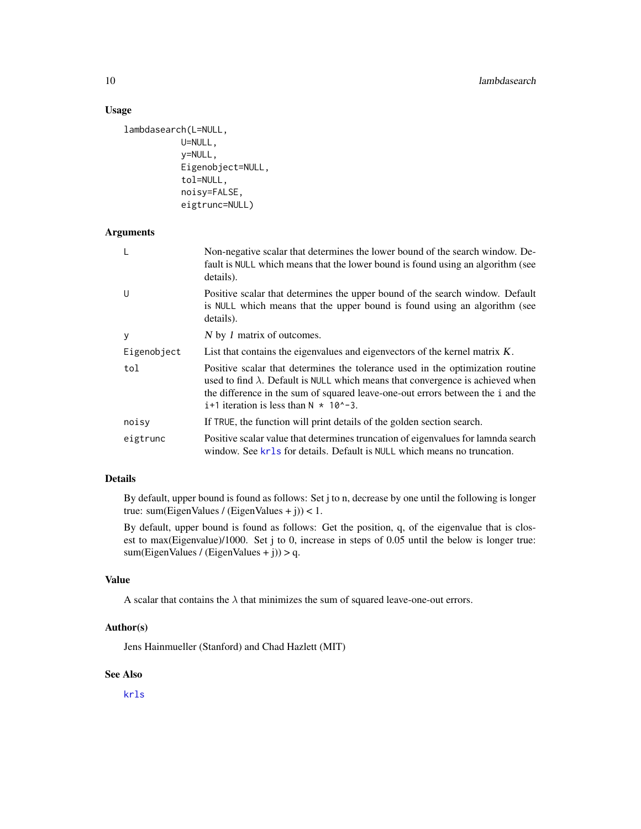# Usage

```
lambdasearch(L=NULL,
           U=NULL,
           y=NULL,
           Eigenobject=NULL,
           tol=NULL,
           noisy=FALSE,
           eigtrunc=NULL)
```
# Arguments

| L           | Non-negative scalar that determines the lower bound of the search window. De-<br>fault is NULL which means that the lower bound is found using an algorithm (see<br>details).                                                                                                                                     |
|-------------|-------------------------------------------------------------------------------------------------------------------------------------------------------------------------------------------------------------------------------------------------------------------------------------------------------------------|
| U           | Positive scalar that determines the upper bound of the search window. Default<br>is NULL which means that the upper bound is found using an algorithm (see<br>details).                                                                                                                                           |
| У           | N by 1 matrix of outcomes.                                                                                                                                                                                                                                                                                        |
| Eigenobject | List that contains the eigenvalues and eigenvectors of the kernel matrix K.                                                                                                                                                                                                                                       |
| tol         | Positive scalar that determines the tolerance used in the optimization routine<br>used to find $\lambda$ . Default is NULL which means that convergence is achieved when<br>the difference in the sum of squared leave-one-out errors between the i and the<br>$i+1$ iteration is less than $N \times 10^2 - 3$ . |
| noisy       | If TRUE, the function will print details of the golden section search.                                                                                                                                                                                                                                            |
| eigtrunc    | Positive scalar value that determines truncation of eigenvalues for lamnda search<br>window. See kr1s for details. Default is NULL which means no truncation.                                                                                                                                                     |

# Details

By default, upper bound is found as follows: Set j to n, decrease by one until the following is longer true: sum(EigenValues / (EigenValues + j)) < 1.

By default, upper bound is found as follows: Get the position, q, of the eigenvalue that is closest to max(Eigenvalue)/1000. Set j to 0, increase in steps of 0.05 until the below is longer true: sum(EigenValues / (EigenValues + j)) > q.

#### Value

A scalar that contains the  $\lambda$  that minimizes the sum of squared leave-one-out errors.

# Author(s)

Jens Hainmueller (Stanford) and Chad Hazlett (MIT)

#### See Also

[krls](#page-3-1)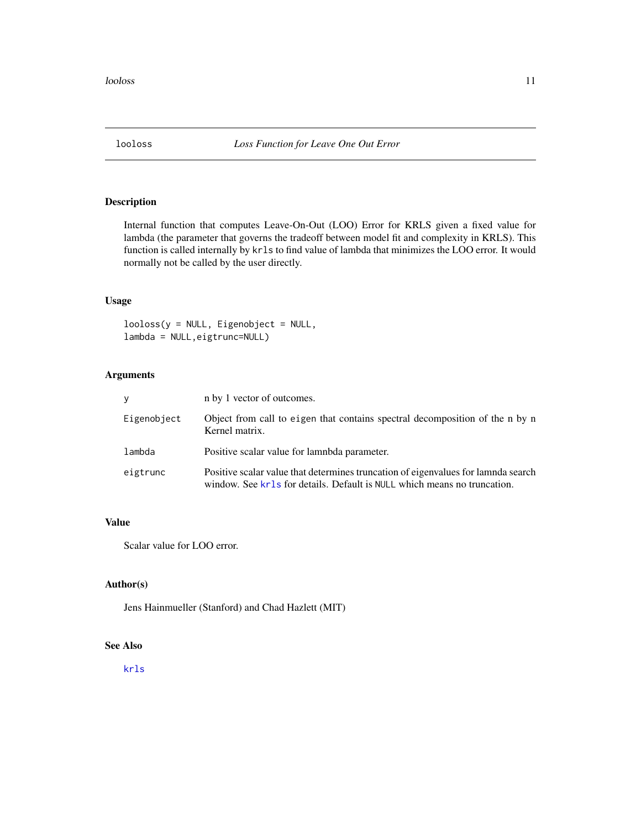<span id="page-10-0"></span>

Internal function that computes Leave-On-Out (LOO) Error for KRLS given a fixed value for lambda (the parameter that governs the tradeoff between model fit and complexity in KRLS). This function is called internally by krls to find value of lambda that minimizes the LOO error. It would normally not be called by the user directly.

#### Usage

looloss(y = NULL, Eigenobject = NULL, lambda = NULL,eigtrunc=NULL)

# Arguments

| V           | n by 1 vector of outcomes.                                                                                                                                    |
|-------------|---------------------------------------------------------------------------------------------------------------------------------------------------------------|
| Eigenobject | Object from call to eigen that contains spectral decomposition of the n by n<br>Kernel matrix.                                                                |
| lambda      | Positive scalar value for lamnbda parameter.                                                                                                                  |
| eigtrunc    | Positive scalar value that determines truncation of eigenvalues for lamnda search<br>window. See kr1s for details. Default is NULL which means no truncation. |

#### Value

Scalar value for LOO error.

# Author(s)

Jens Hainmueller (Stanford) and Chad Hazlett (MIT)

# See Also

[krls](#page-3-1)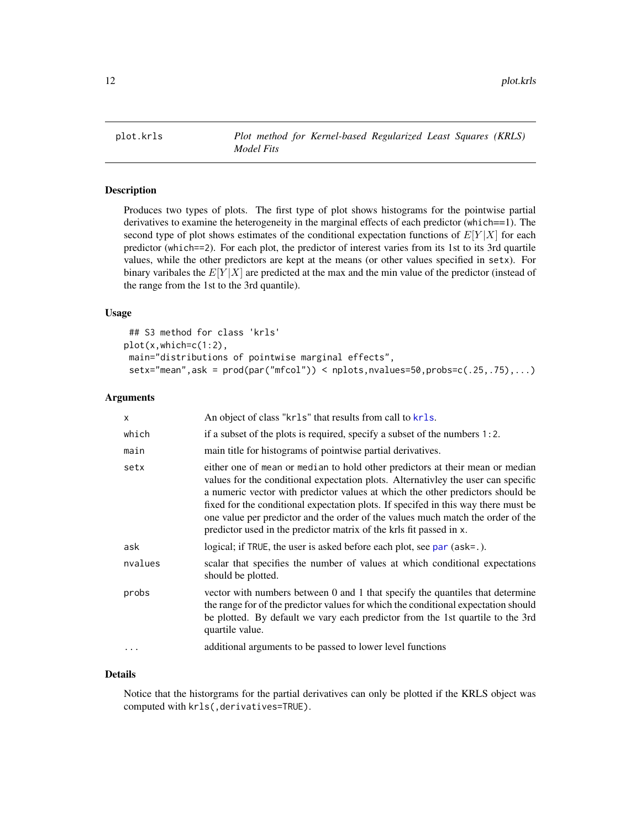<span id="page-11-1"></span><span id="page-11-0"></span>

Produces two types of plots. The first type of plot shows histograms for the pointwise partial derivatives to examine the heterogeneity in the marginal effects of each predictor (which==1). The second type of plot shows estimates of the conditional expectation functions of  $E[Y|X]$  for each predictor (which==2). For each plot, the predictor of interest varies from its 1st to its 3rd quartile values, while the other predictors are kept at the means (or other values specified in setx). For binary varibales the  $E[Y|X]$  are predicted at the max and the min value of the predictor (instead of the range from the 1st to the 3rd quantile).

#### Usage

```
## S3 method for class 'krls'
plot(x,which=c(1:2),
main="distributions of pointwise marginal effects",
setx="mean",ask = prod(par("mfcol")) < nplots,nvalues=50,probs=c(.25,.75),...)
```
#### Arguments

| X         | An object of class "krls" that results from call to krls.                                                                                                                                                                                                                                                                                                                                                                                                                                            |
|-----------|------------------------------------------------------------------------------------------------------------------------------------------------------------------------------------------------------------------------------------------------------------------------------------------------------------------------------------------------------------------------------------------------------------------------------------------------------------------------------------------------------|
| which     | if a subset of the plots is required, specify a subset of the numbers $1:2$ .                                                                                                                                                                                                                                                                                                                                                                                                                        |
| main      | main title for histograms of pointwise partial derivatives.                                                                                                                                                                                                                                                                                                                                                                                                                                          |
| setx      | either one of mean or median to hold other predictors at their mean or median<br>values for the conditional expectation plots. Alternativley the user can specific<br>a numeric vector with predictor values at which the other predictors should be<br>fixed for the conditional expectation plots. If specifed in this way there must be<br>one value per predictor and the order of the values much match the order of the<br>predictor used in the predictor matrix of the krls fit passed in x. |
| ask       | logical; if TRUE, the user is asked before each plot, see par (ask=.).                                                                                                                                                                                                                                                                                                                                                                                                                               |
| nvalues   | scalar that specifies the number of values at which conditional expectations<br>should be plotted.                                                                                                                                                                                                                                                                                                                                                                                                   |
| probs     | vector with numbers between 0 and 1 that specify the quantiles that determine<br>the range for of the predictor values for which the conditional expectation should<br>be plotted. By default we vary each predictor from the 1st quartile to the 3rd<br>quartile value.                                                                                                                                                                                                                             |
| $\ddotsc$ | additional arguments to be passed to lower level functions                                                                                                                                                                                                                                                                                                                                                                                                                                           |

# Details

Notice that the historgrams for the partial derivatives can only be plotted if the KRLS object was computed with krls(,derivatives=TRUE).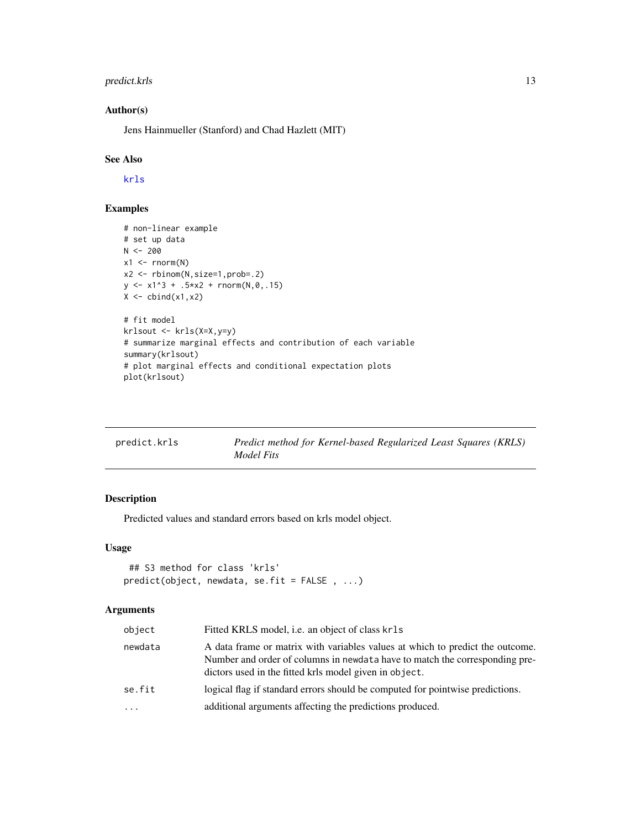# <span id="page-12-0"></span>predict.krls 13

# Author(s)

Jens Hainmueller (Stanford) and Chad Hazlett (MIT)

# See Also

[krls](#page-3-1)

# Examples

```
# non-linear example
# set up data
N < -200x1 \leftarrow \text{rnorm}(N)x2 <- rbinom(N,size=1,prob=.2)
y \le -x1^3 + .5*x2 + rnorm(N, \emptyset, .15)X \leftarrow \text{cbind}(x1, x2)# fit model
krlsout <- krls(X=X,y=y)
# summarize marginal effects and contribution of each variable
summary(krlsout)
# plot marginal effects and conditional expectation plots
plot(krlsout)
```
<span id="page-12-1"></span>

| predict.krls | Predict method for Kernel-based Regularized Least Squares (KRLS) |
|--------------|------------------------------------------------------------------|
|              | Model Fits                                                       |

# Description

Predicted values and standard errors based on krls model object.

#### Usage

```
## S3 method for class 'krls'
predict(object, newdata, se.fit = FALSE , ...)
```

| object  | Fitted KRLS model, i.e. an object of class krls                                                                                                                                                                        |
|---------|------------------------------------------------------------------------------------------------------------------------------------------------------------------------------------------------------------------------|
| newdata | A data frame or matrix with variables values at which to predict the outcome.<br>Number and order of columns in newdata have to match the corresponding pre-<br>dictors used in the fitted krls model given in object. |
| se.fit  | logical flag if standard errors should be computed for pointwise predictions.                                                                                                                                          |
| .       | additional arguments affecting the predictions produced.                                                                                                                                                               |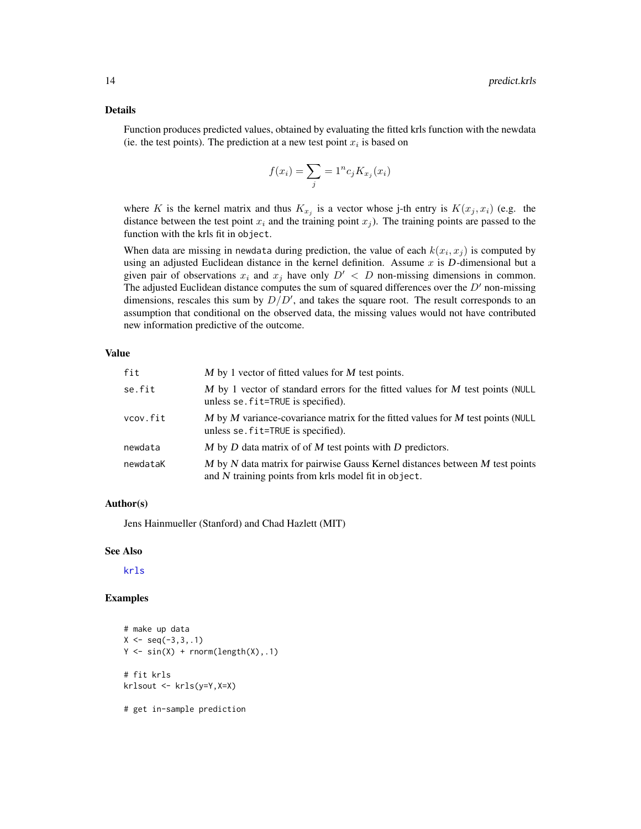#### Details

Function produces predicted values, obtained by evaluating the fitted krls function with the newdata (ie. the test points). The prediction at a new test point  $x_i$  is based on

$$
f(x_i) = \sum_j \frac{1}{i} n c_j K_{x_j}(x_i)
$$

where K is the kernel matrix and thus  $K_{x_j}$  is a vector whose j-th entry is  $K(x_j, x_i)$  (e.g. the distance between the test point  $x_i$  and the training point  $x_j$ ). The training points are passed to the function with the krls fit in object.

When data are missing in newdata during prediction, the value of each  $k(x_i, x_j)$  is computed by using an adjusted Euclidean distance in the kernel definition. Assume  $x$  is  $D$ -dimensional but a given pair of observations  $x_i$  and  $x_j$  have only  $D' < D$  non-missing dimensions in common. The adjusted Euclidean distance computes the sum of squared differences over the  $D'$  non-missing dimensions, rescales this sum by  $D/D'$ , and takes the square root. The result corresponds to an assumption that conditional on the observed data, the missing values would not have contributed new information predictive of the outcome.

#### Value

| fit      | $M$ by 1 vector of fitted values for $M$ test points.                                                                                |
|----------|--------------------------------------------------------------------------------------------------------------------------------------|
| se.fit   | $M$ by 1 vector of standard errors for the fitted values for $M$ test points (NULL<br>unless se. fit=TRUE is specified).             |
| vcov.fit | M by M variance-covariance matrix for the fitted values for M test points (NULL<br>unless se. fit=TRUE is specified).                |
| newdata  | $M$ by $D$ data matrix of of $M$ test points with $D$ predictors.                                                                    |
| newdataK | M by N data matrix for pairwise Gauss Kernel distances between M test points<br>and N training points from krls model fit in object. |

#### Author(s)

Jens Hainmueller (Stanford) and Chad Hazlett (MIT)

#### See Also

[krls](#page-3-1)

```
# make up data
X \leq -\text{seq}(-3,3,.1)Y \leftarrow \sin(X) + \text{norm}(\text{length}(X), .1)# fit krls
krlsout <- krls(y=Y,X=X)
# get in-sample prediction
```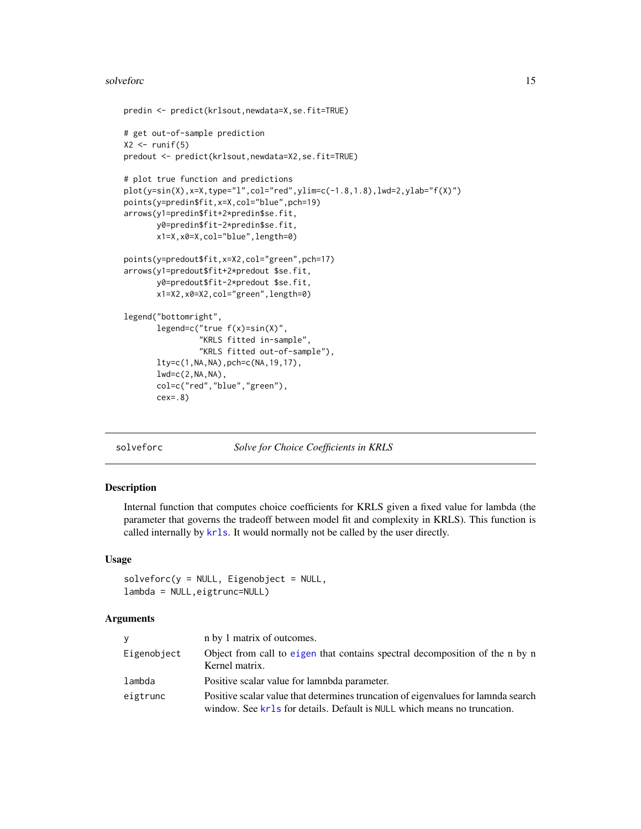#### <span id="page-14-0"></span>solveforc and the solvetic state of the solvetic state of the solvetic state of the solvetic state of the solvetic state of the solvetic state of the solvetic state of the solvetic state of the solvetic state of the solvet

```
predin <- predict(krlsout,newdata=X,se.fit=TRUE)
# get out-of-sample prediction
X2 \leftarrow runif(5)predout <- predict(krlsout,newdata=X2,se.fit=TRUE)
# plot true function and predictions
plot(y=sin(X),x=X,type="l",col="red",ylim=c(-1.8,1.8),lwd=2,ylab="f(X)")
points(y=predin$fit,x=X,col="blue",pch=19)
arrows(y1=predin$fit+2*predin$se.fit,
       y0=predin$fit-2*predin$se.fit,
       x1=X,x0=X,col="blue",length=0)
points(y=predout$fit,x=X2,col="green",pch=17)
arrows(y1=predout$fit+2*predout $se.fit,
       y0=predout$fit-2*predout $se.fit,
       x1=X2,x0=X2,col="green",length=0)
legend("bottomright",
       legend=c("true f(x)=sin(X)",
                "KRLS fitted in-sample",
                "KRLS fitted out-of-sample"),
       lty=c(1,NA,NA),pch=c(NA,19,17),
       lwd=c(2,NA,NA),
       col=c("red","blue","green"),
       cex=.8)
```
solveforc *Solve for Choice Coefficients in KRLS*

# Description

Internal function that computes choice coefficients for KRLS given a fixed value for lambda (the parameter that governs the tradeoff between model fit and complexity in KRLS). This function is called internally by [krls](#page-3-1). It would normally not be called by the user directly.

#### Usage

```
solveforce(y = NULL, Eigenobject = NULL,lambda = NULL,eigtrunc=NULL)
```

| V           | n by 1 matrix of outcomes.                                                                                                                                    |
|-------------|---------------------------------------------------------------------------------------------------------------------------------------------------------------|
| Eigenobject | Object from call to eigen that contains spectral decomposition of the n by n<br>Kernel matrix.                                                                |
| lambda      | Positive scalar value for lamnbda parameter.                                                                                                                  |
| eigtrunc    | Positive scalar value that determines truncation of eigenvalues for lamnda search<br>window. See kr1s for details. Default is NULL which means no truncation. |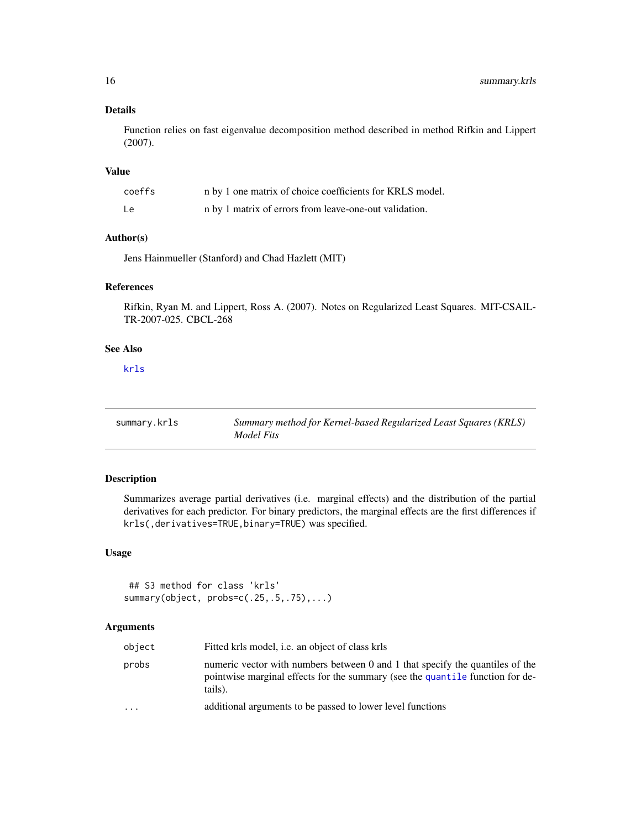# Details

Function relies on fast eigenvalue decomposition method described in method Rifkin and Lippert (2007).

#### Value

| coeffs | n by 1 one matrix of choice coefficients for KRLS model. |
|--------|----------------------------------------------------------|
| Le     | n by 1 matrix of errors from leave-one-out validation.   |

#### Author(s)

Jens Hainmueller (Stanford) and Chad Hazlett (MIT)

#### References

Rifkin, Ryan M. and Lippert, Ross A. (2007). Notes on Regularized Least Squares. MIT-CSAIL-TR-2007-025. CBCL-268

# See Also

[krls](#page-3-1)

<span id="page-15-1"></span>

| summary.krls | Summary method for Kernel-based Regularized Least Squares (KRLS) |
|--------------|------------------------------------------------------------------|
|              | Model Fits                                                       |

# Description

Summarizes average partial derivatives (i.e. marginal effects) and the distribution of the partial derivatives for each predictor. For binary predictors, the marginal effects are the first differences if krls(,derivatives=TRUE,binary=TRUE) was specified.

# Usage

## S3 method for class 'krls' summary(object, probs=c(.25,.5,.75),...)

| object   | Fitted krls model, <i>i.e.</i> an object of class krls                                                                                                                    |
|----------|---------------------------------------------------------------------------------------------------------------------------------------------------------------------------|
| probs    | numeric vector with numbers between 0 and 1 that specify the quantiles of the<br>pointwise marginal effects for the summary (see the quantile function for de-<br>tails). |
| $\cdots$ | additional arguments to be passed to lower level functions                                                                                                                |

<span id="page-15-0"></span>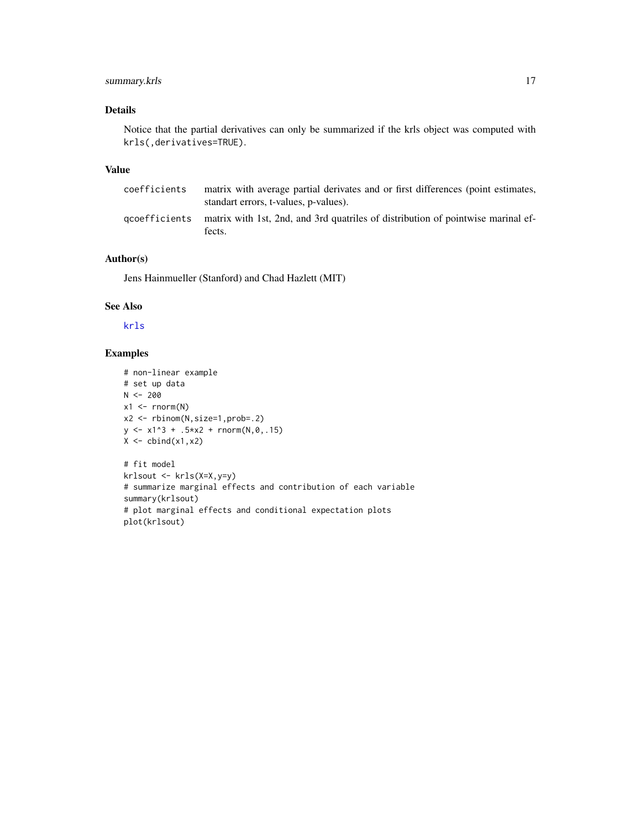# <span id="page-16-0"></span>summary.krls 17

# Details

Notice that the partial derivatives can only be summarized if the krls object was computed with krls(,derivatives=TRUE).

#### Value

| coefficients | matrix with average partial derivates and or first differences (point estimates,<br>standart errors, t-values, p-values). |
|--------------|---------------------------------------------------------------------------------------------------------------------------|
|              | gcoefficients matrix with 1st, 2nd, and 3rd quatriles of distribution of pointwise marinal ef-<br>fects.                  |

# Author(s)

Jens Hainmueller (Stanford) and Chad Hazlett (MIT)

# See Also

[krls](#page-3-1)

```
# non-linear example
# set up data
N < -200x1 \leftarrow \text{norm}(N)x2 <- rbinom(N,size=1,prob=.2)
y \le -x1^3 + .5*x2 + rnorm(N, \emptyset, .15)X \leftarrow \text{cbind}(x1, x2)# fit model
krlsout <- krls(X=X,y=y)
```

```
# summarize marginal effects and contribution of each variable
summary(krlsout)
# plot marginal effects and conditional expectation plots
plot(krlsout)
```